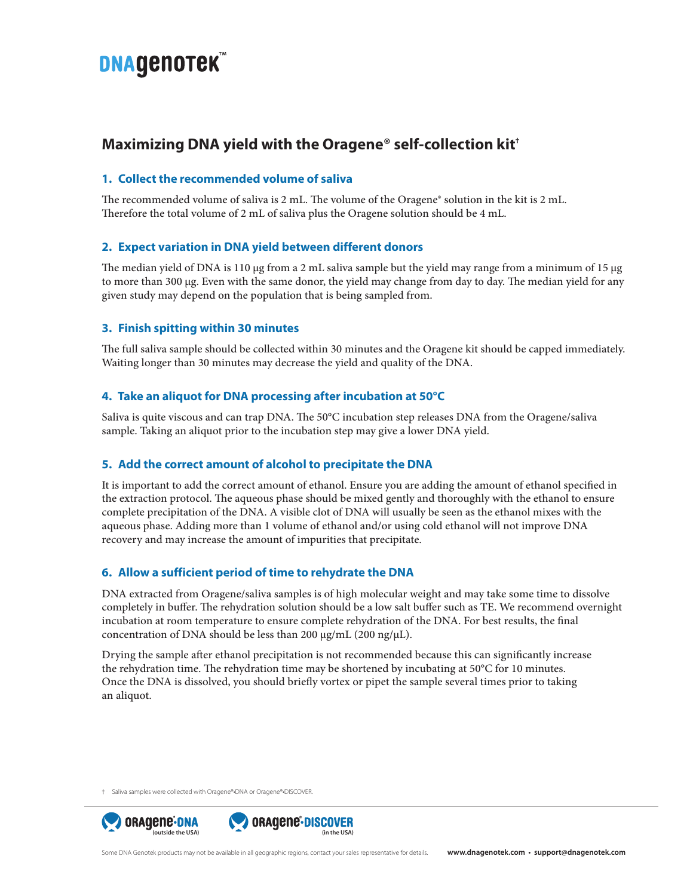# **DNAGENOTEK**

## **Maximizing DNA yield with the Oragene® self-collection kit†**

#### **1. Collect the recommended volume of saliva**

The recommended volume of saliva is 2 mL. The volume of the Oragene® solution in the kit is 2 mL. Therefore the total volume of 2 mL of saliva plus the Oragene solution should be 4 mL.

### **2. Expect variation in DNA yield between different donors**

The median yield of DNA is 110 μg from a 2 mL saliva sample but the yield may range from a minimum of 15 μg to more than 300 μg. Even with the same donor, the yield may change from day to day. The median yield for any given study may depend on the population that is being sampled from.

#### **3. Finish spitting within 30 minutes**

The full saliva sample should be collected within 30 minutes and the Oragene kit should be capped immediately. Waiting longer than 30 minutes may decrease the yield and quality of the DNA.

#### **4. Take an aliquot for DNA processing after incubation at 50°C**

Saliva is quite viscous and can trap DNA. The 50°C incubation step releases DNA from the Oragene/saliva sample. Taking an aliquot prior to the incubation step may give a lower DNA yield.

#### **5. Add the correct amount of alcohol to precipitate the DNA**

It is important to add the correct amount of ethanol. Ensure you are adding the amount of ethanol specified in the extraction protocol. The aqueous phase should be mixed gently and thoroughly with the ethanol to ensure complete precipitation of the DNA. A visible clot of DNA will usually be seen as the ethanol mixes with the aqueous phase. Adding more than 1 volume of ethanol and/or using cold ethanol will not improve DNA recovery and may increase the amount of impurities that precipitate.

### **6. Allow a sufficient period of time to rehydrate the DNA**

DNA extracted from Oragene/saliva samples is of high molecular weight and may take some time to dissolve completely in buffer. The rehydration solution should be a low salt buffer such as TE. We recommend overnight incubation at room temperature to ensure complete rehydration of the DNA. For best results, the final concentration of DNA should be less than 200 μg/mL (200 ng/μL).

Drying the sample after ethanol precipitation is not recommended because this can significantly increase the rehydration time. The rehydration time may be shortened by incubating at 50°C for 10 minutes. Once the DNA is dissolved, you should briefly vortex or pipet the sample several times prior to taking an aliquot.

† Saliva samples were collected with Oragene®•DNA or Oragene®•DISCOVER.